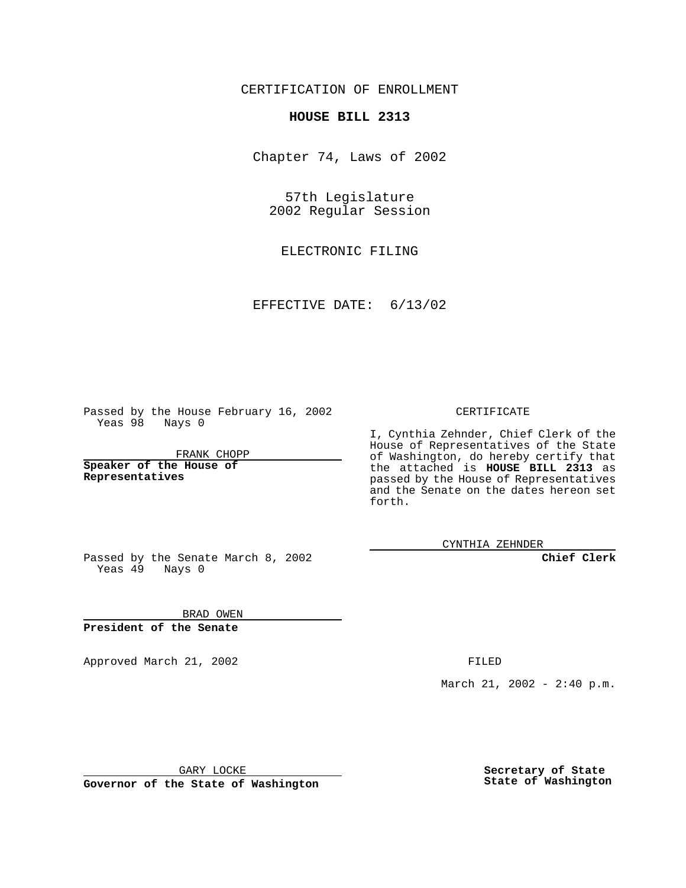CERTIFICATION OF ENROLLMENT

## **HOUSE BILL 2313**

Chapter 74, Laws of 2002

57th Legislature 2002 Regular Session

ELECTRONIC FILING

EFFECTIVE DATE: 6/13/02

Passed by the House February 16, 2002 Yeas 98 Nays 0

FRANK CHOPP

**Speaker of the House of Representatives**

CERTIFICATE

I, Cynthia Zehnder, Chief Clerk of the House of Representatives of the State of Washington, do hereby certify that the attached is **HOUSE BILL 2313** as passed by the House of Representatives and the Senate on the dates hereon set forth.

CYNTHIA ZEHNDER

**Chief Clerk**

Passed by the Senate March 8, 2002 Yeas  $49$  Nays 0

BRAD OWEN **President of the Senate**

Approved March 21, 2002 **FILED** 

March 21, 2002 - 2:40 p.m.

GARY LOCKE

**Governor of the State of Washington**

**Secretary of State State of Washington**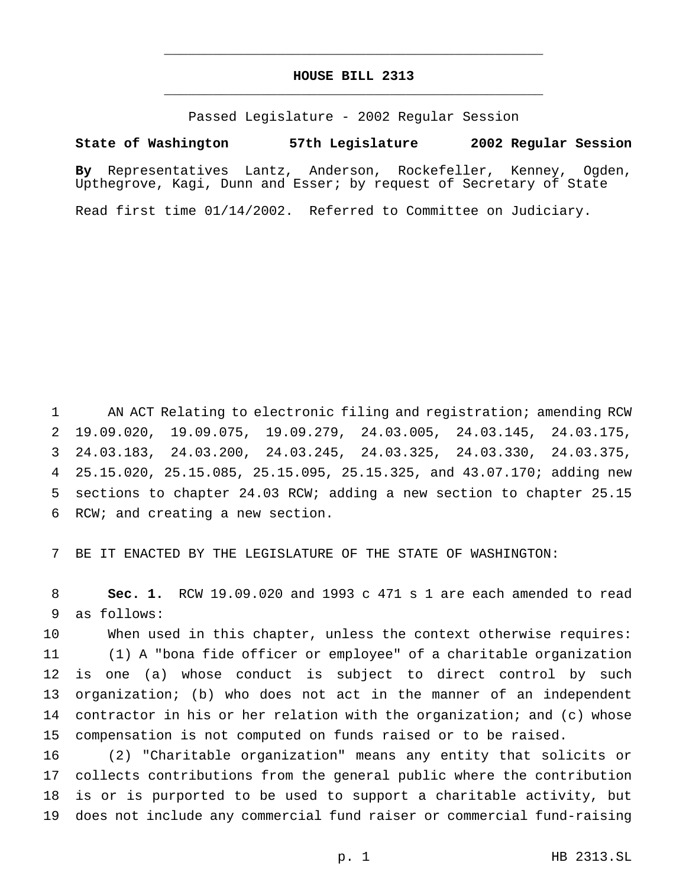## **HOUSE BILL 2313** \_\_\_\_\_\_\_\_\_\_\_\_\_\_\_\_\_\_\_\_\_\_\_\_\_\_\_\_\_\_\_\_\_\_\_\_\_\_\_\_\_\_\_\_\_\_\_

\_\_\_\_\_\_\_\_\_\_\_\_\_\_\_\_\_\_\_\_\_\_\_\_\_\_\_\_\_\_\_\_\_\_\_\_\_\_\_\_\_\_\_\_\_\_\_

Passed Legislature - 2002 Regular Session

## **State of Washington 57th Legislature 2002 Regular Session**

**By** Representatives Lantz, Anderson, Rockefeller, Kenney, Ogden, Upthegrove, Kagi, Dunn and Esser; by request of Secretary of State

Read first time 01/14/2002. Referred to Committee on Judiciary.

 AN ACT Relating to electronic filing and registration; amending RCW 19.09.020, 19.09.075, 19.09.279, 24.03.005, 24.03.145, 24.03.175, 24.03.183, 24.03.200, 24.03.245, 24.03.325, 24.03.330, 24.03.375, 25.15.020, 25.15.085, 25.15.095, 25.15.325, and 43.07.170; adding new sections to chapter 24.03 RCW; adding a new section to chapter 25.15 RCW; and creating a new section.

BE IT ENACTED BY THE LEGISLATURE OF THE STATE OF WASHINGTON:

 **Sec. 1.** RCW 19.09.020 and 1993 c 471 s 1 are each amended to read as follows:

 When used in this chapter, unless the context otherwise requires: (1) A "bona fide officer or employee" of a charitable organization is one (a) whose conduct is subject to direct control by such organization; (b) who does not act in the manner of an independent contractor in his or her relation with the organization; and (c) whose compensation is not computed on funds raised or to be raised.

 (2) "Charitable organization" means any entity that solicits or collects contributions from the general public where the contribution is or is purported to be used to support a charitable activity, but does not include any commercial fund raiser or commercial fund-raising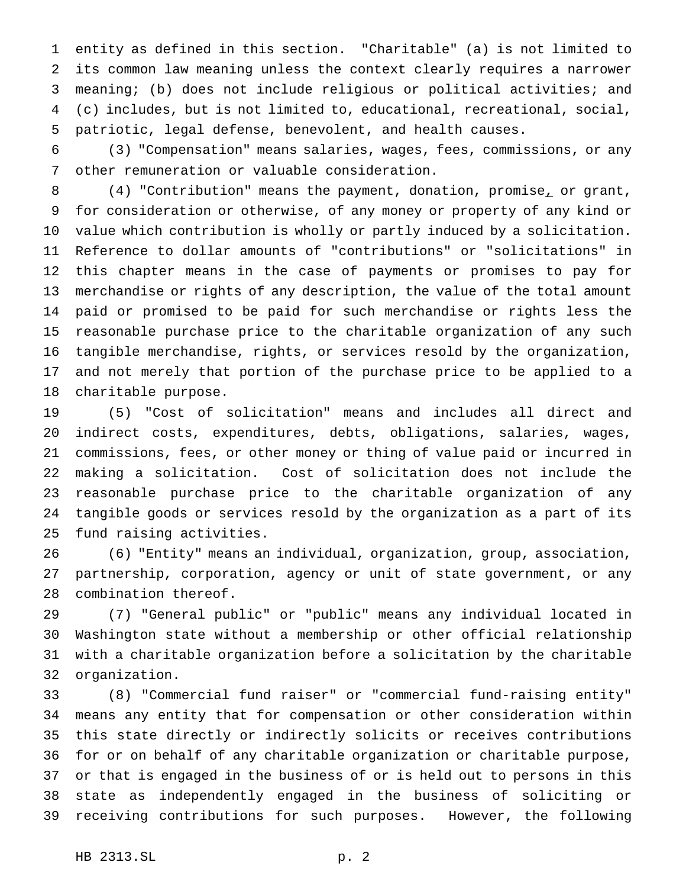entity as defined in this section. "Charitable" (a) is not limited to its common law meaning unless the context clearly requires a narrower meaning; (b) does not include religious or political activities; and (c) includes, but is not limited to, educational, recreational, social, patriotic, legal defense, benevolent, and health causes.

 (3) "Compensation" means salaries, wages, fees, commissions, or any other remuneration or valuable consideration.

8 (4) "Contribution" means the payment, donation, promise<sub>r</sub> or grant, for consideration or otherwise, of any money or property of any kind or value which contribution is wholly or partly induced by a solicitation. Reference to dollar amounts of "contributions" or "solicitations" in this chapter means in the case of payments or promises to pay for merchandise or rights of any description, the value of the total amount paid or promised to be paid for such merchandise or rights less the reasonable purchase price to the charitable organization of any such tangible merchandise, rights, or services resold by the organization, and not merely that portion of the purchase price to be applied to a charitable purpose.

 (5) "Cost of solicitation" means and includes all direct and indirect costs, expenditures, debts, obligations, salaries, wages, commissions, fees, or other money or thing of value paid or incurred in making a solicitation. Cost of solicitation does not include the reasonable purchase price to the charitable organization of any tangible goods or services resold by the organization as a part of its fund raising activities.

 (6) "Entity" means an individual, organization, group, association, partnership, corporation, agency or unit of state government, or any combination thereof.

 (7) "General public" or "public" means any individual located in Washington state without a membership or other official relationship with a charitable organization before a solicitation by the charitable organization.

 (8) "Commercial fund raiser" or "commercial fund-raising entity" means any entity that for compensation or other consideration within this state directly or indirectly solicits or receives contributions for or on behalf of any charitable organization or charitable purpose, or that is engaged in the business of or is held out to persons in this state as independently engaged in the business of soliciting or receiving contributions for such purposes. However, the following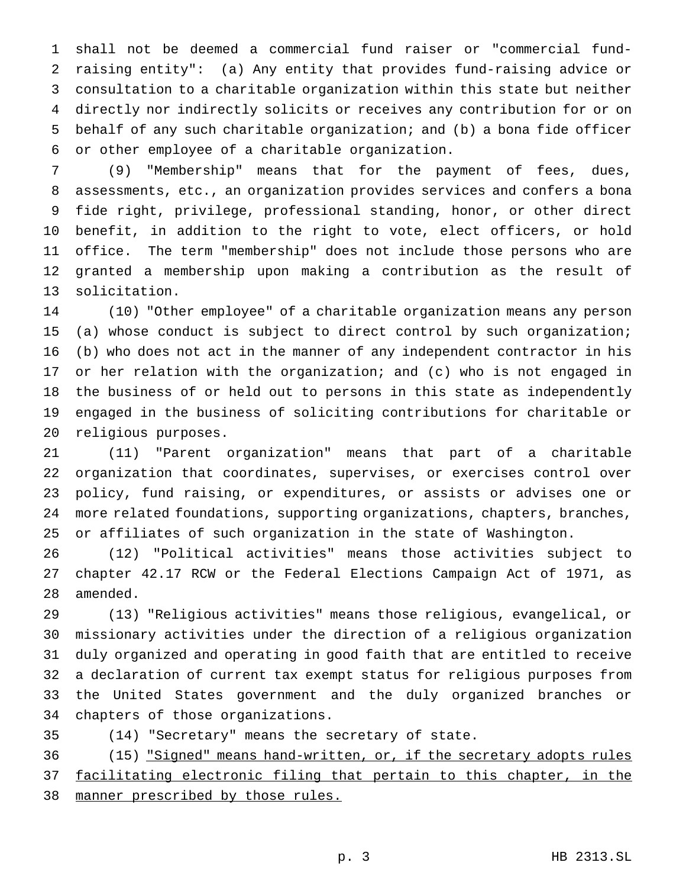shall not be deemed a commercial fund raiser or "commercial fund- raising entity": (a) Any entity that provides fund-raising advice or consultation to a charitable organization within this state but neither directly nor indirectly solicits or receives any contribution for or on behalf of any such charitable organization; and (b) a bona fide officer or other employee of a charitable organization.

 (9) "Membership" means that for the payment of fees, dues, assessments, etc., an organization provides services and confers a bona fide right, privilege, professional standing, honor, or other direct benefit, in addition to the right to vote, elect officers, or hold office. The term "membership" does not include those persons who are granted a membership upon making a contribution as the result of solicitation.

 (10) "Other employee" of a charitable organization means any person (a) whose conduct is subject to direct control by such organization; (b) who does not act in the manner of any independent contractor in his or her relation with the organization; and (c) who is not engaged in the business of or held out to persons in this state as independently engaged in the business of soliciting contributions for charitable or religious purposes.

 (11) "Parent organization" means that part of a charitable organization that coordinates, supervises, or exercises control over policy, fund raising, or expenditures, or assists or advises one or more related foundations, supporting organizations, chapters, branches, or affiliates of such organization in the state of Washington.

 (12) "Political activities" means those activities subject to chapter 42.17 RCW or the Federal Elections Campaign Act of 1971, as amended.

 (13) "Religious activities" means those religious, evangelical, or missionary activities under the direction of a religious organization duly organized and operating in good faith that are entitled to receive a declaration of current tax exempt status for religious purposes from the United States government and the duly organized branches or chapters of those organizations.

(14) "Secretary" means the secretary of state.

 (15) "Signed" means hand-written, or, if the secretary adopts rules facilitating electronic filing that pertain to this chapter, in the 38 manner prescribed by those rules.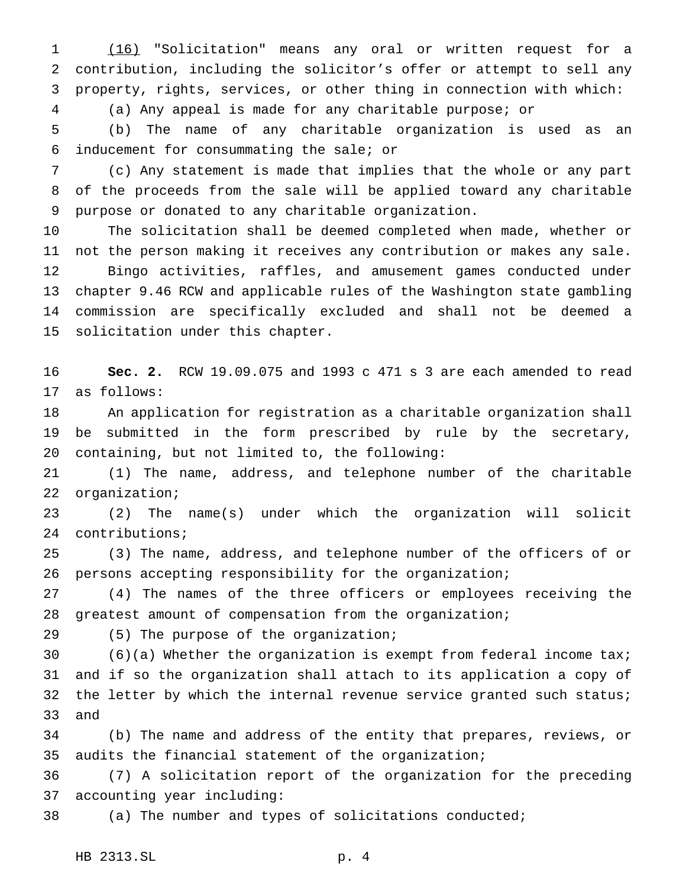(16) "Solicitation" means any oral or written request for a contribution, including the solicitor's offer or attempt to sell any property, rights, services, or other thing in connection with which:

(a) Any appeal is made for any charitable purpose; or

 (b) The name of any charitable organization is used as an inducement for consummating the sale; or

 (c) Any statement is made that implies that the whole or any part of the proceeds from the sale will be applied toward any charitable purpose or donated to any charitable organization.

 The solicitation shall be deemed completed when made, whether or not the person making it receives any contribution or makes any sale. Bingo activities, raffles, and amusement games conducted under chapter 9.46 RCW and applicable rules of the Washington state gambling commission are specifically excluded and shall not be deemed a solicitation under this chapter.

 **Sec. 2.** RCW 19.09.075 and 1993 c 471 s 3 are each amended to read as follows:

 An application for registration as a charitable organization shall be submitted in the form prescribed by rule by the secretary, containing, but not limited to, the following:

 (1) The name, address, and telephone number of the charitable organization;

 (2) The name(s) under which the organization will solicit contributions;

 (3) The name, address, and telephone number of the officers of or persons accepting responsibility for the organization;

 (4) The names of the three officers or employees receiving the greatest amount of compensation from the organization;

(5) The purpose of the organization;

 (6)(a) Whether the organization is exempt from federal income tax; and if so the organization shall attach to its application a copy of the letter by which the internal revenue service granted such status; and

 (b) The name and address of the entity that prepares, reviews, or audits the financial statement of the organization;

 (7) A solicitation report of the organization for the preceding accounting year including:

(a) The number and types of solicitations conducted;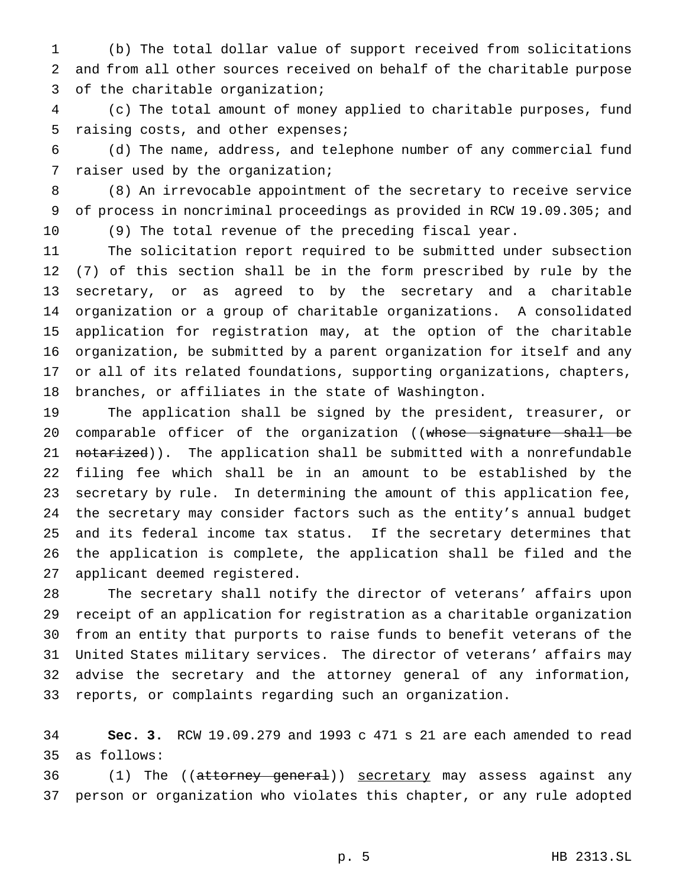(b) The total dollar value of support received from solicitations and from all other sources received on behalf of the charitable purpose of the charitable organization;

 (c) The total amount of money applied to charitable purposes, fund raising costs, and other expenses;

 (d) The name, address, and telephone number of any commercial fund raiser used by the organization;

 (8) An irrevocable appointment of the secretary to receive service of process in noncriminal proceedings as provided in RCW 19.09.305; and (9) The total revenue of the preceding fiscal year.

 The solicitation report required to be submitted under subsection (7) of this section shall be in the form prescribed by rule by the secretary, or as agreed to by the secretary and a charitable organization or a group of charitable organizations. A consolidated application for registration may, at the option of the charitable organization, be submitted by a parent organization for itself and any or all of its related foundations, supporting organizations, chapters, branches, or affiliates in the state of Washington.

 The application shall be signed by the president, treasurer, or 20 comparable officer of the organization ((whose signature shall be 21 notarized)). The application shall be submitted with a nonrefundable filing fee which shall be in an amount to be established by the secretary by rule. In determining the amount of this application fee, the secretary may consider factors such as the entity's annual budget and its federal income tax status. If the secretary determines that the application is complete, the application shall be filed and the applicant deemed registered.

 The secretary shall notify the director of veterans' affairs upon receipt of an application for registration as a charitable organization from an entity that purports to raise funds to benefit veterans of the United States military services. The director of veterans' affairs may advise the secretary and the attorney general of any information, reports, or complaints regarding such an organization.

 **Sec. 3.** RCW 19.09.279 and 1993 c 471 s 21 are each amended to read as follows:

36 (1) The ((attorney general)) secretary may assess against any person or organization who violates this chapter, or any rule adopted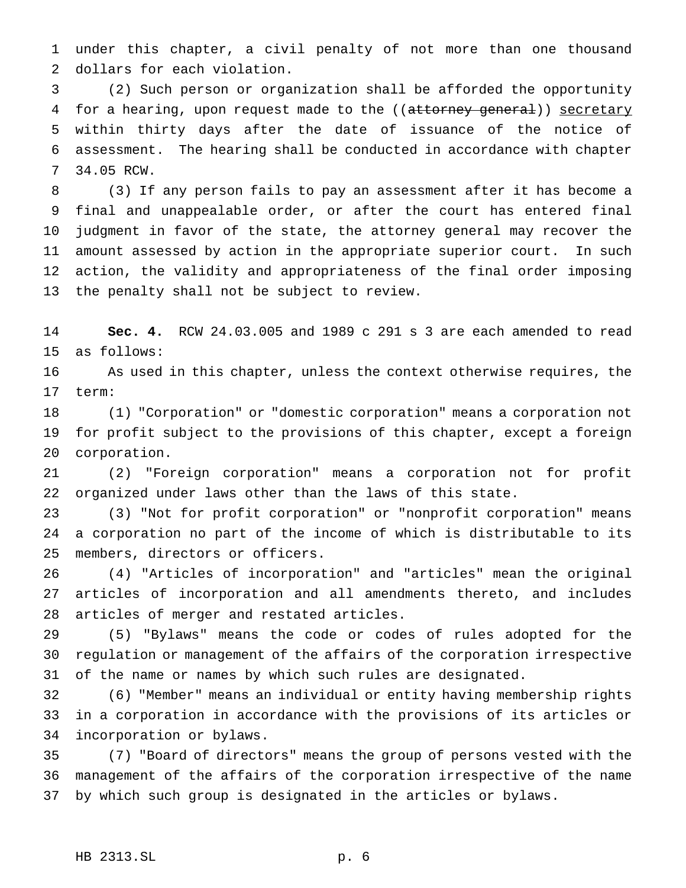under this chapter, a civil penalty of not more than one thousand dollars for each violation.

 (2) Such person or organization shall be afforded the opportunity 4 for a hearing, upon request made to the ((attorney general)) secretary within thirty days after the date of issuance of the notice of assessment. The hearing shall be conducted in accordance with chapter 34.05 RCW.

 (3) If any person fails to pay an assessment after it has become a final and unappealable order, or after the court has entered final judgment in favor of the state, the attorney general may recover the amount assessed by action in the appropriate superior court. In such action, the validity and appropriateness of the final order imposing the penalty shall not be subject to review.

 **Sec. 4.** RCW 24.03.005 and 1989 c 291 s 3 are each amended to read as follows:

 As used in this chapter, unless the context otherwise requires, the term:

 (1) "Corporation" or "domestic corporation" means a corporation not for profit subject to the provisions of this chapter, except a foreign corporation.

 (2) "Foreign corporation" means a corporation not for profit organized under laws other than the laws of this state.

 (3) "Not for profit corporation" or "nonprofit corporation" means a corporation no part of the income of which is distributable to its members, directors or officers.

 (4) "Articles of incorporation" and "articles" mean the original articles of incorporation and all amendments thereto, and includes articles of merger and restated articles.

 (5) "Bylaws" means the code or codes of rules adopted for the regulation or management of the affairs of the corporation irrespective of the name or names by which such rules are designated.

 (6) "Member" means an individual or entity having membership rights in a corporation in accordance with the provisions of its articles or incorporation or bylaws.

 (7) "Board of directors" means the group of persons vested with the management of the affairs of the corporation irrespective of the name by which such group is designated in the articles or bylaws.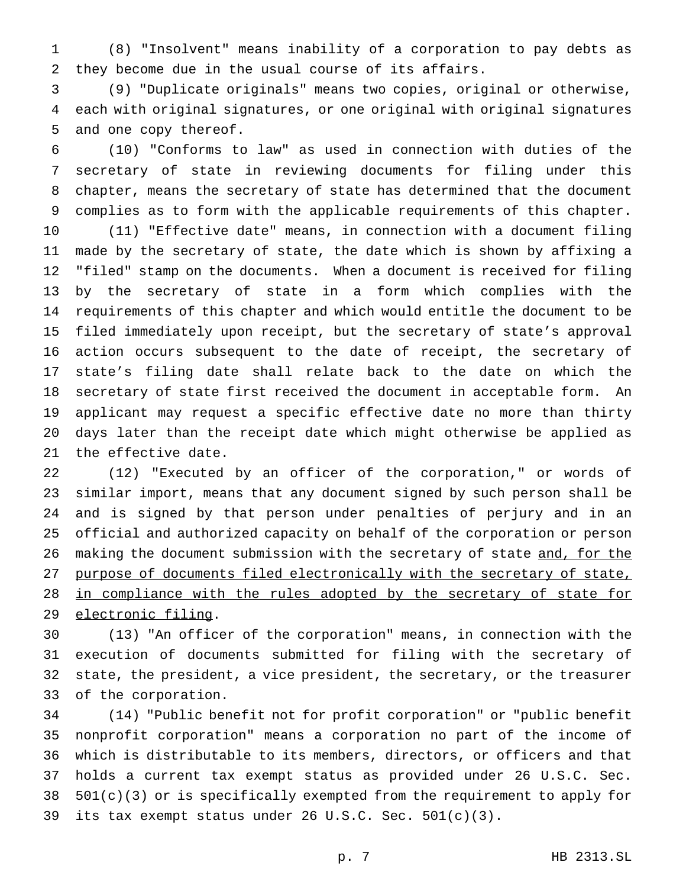(8) "Insolvent" means inability of a corporation to pay debts as they become due in the usual course of its affairs.

 (9) "Duplicate originals" means two copies, original or otherwise, each with original signatures, or one original with original signatures and one copy thereof.

 (10) "Conforms to law" as used in connection with duties of the secretary of state in reviewing documents for filing under this chapter, means the secretary of state has determined that the document complies as to form with the applicable requirements of this chapter. (11) "Effective date" means, in connection with a document filing made by the secretary of state, the date which is shown by affixing a "filed" stamp on the documents. When a document is received for filing by the secretary of state in a form which complies with the requirements of this chapter and which would entitle the document to be filed immediately upon receipt, but the secretary of state's approval action occurs subsequent to the date of receipt, the secretary of state's filing date shall relate back to the date on which the secretary of state first received the document in acceptable form. An applicant may request a specific effective date no more than thirty days later than the receipt date which might otherwise be applied as the effective date.

 (12) "Executed by an officer of the corporation," or words of similar import, means that any document signed by such person shall be and is signed by that person under penalties of perjury and in an official and authorized capacity on behalf of the corporation or person 26 making the document submission with the secretary of state and, for the purpose of documents filed electronically with the secretary of state, 28 in compliance with the rules adopted by the secretary of state for electronic filing.

 (13) "An officer of the corporation" means, in connection with the execution of documents submitted for filing with the secretary of state, the president, a vice president, the secretary, or the treasurer of the corporation.

 (14) "Public benefit not for profit corporation" or "public benefit nonprofit corporation" means a corporation no part of the income of which is distributable to its members, directors, or officers and that holds a current tax exempt status as provided under 26 U.S.C. Sec. 501(c)(3) or is specifically exempted from the requirement to apply for its tax exempt status under 26 U.S.C. Sec. 501(c)(3).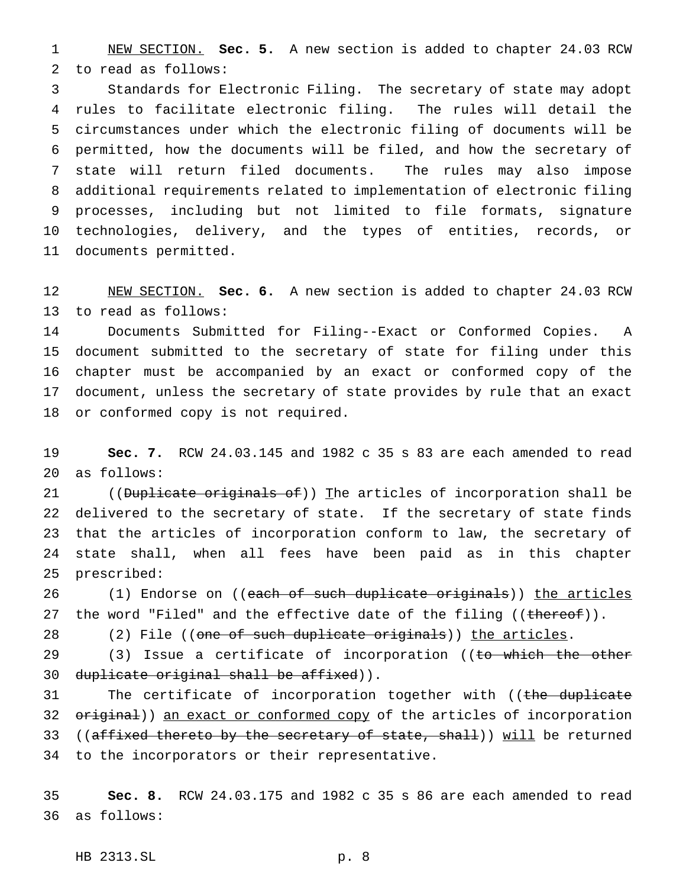NEW SECTION. **Sec. 5.** A new section is added to chapter 24.03 RCW to read as follows:

 Standards for Electronic Filing. The secretary of state may adopt rules to facilitate electronic filing. The rules will detail the circumstances under which the electronic filing of documents will be permitted, how the documents will be filed, and how the secretary of state will return filed documents. The rules may also impose additional requirements related to implementation of electronic filing processes, including but not limited to file formats, signature technologies, delivery, and the types of entities, records, or documents permitted.

 NEW SECTION. **Sec. 6.** A new section is added to chapter 24.03 RCW to read as follows:

 Documents Submitted for Filing--Exact or Conformed Copies. A document submitted to the secretary of state for filing under this chapter must be accompanied by an exact or conformed copy of the document, unless the secretary of state provides by rule that an exact or conformed copy is not required.

 **Sec. 7.** RCW 24.03.145 and 1982 c 35 s 83 are each amended to read as follows:

21 ((Duplicate originals of)) The articles of incorporation shall be delivered to the secretary of state. If the secretary of state finds that the articles of incorporation conform to law, the secretary of state shall, when all fees have been paid as in this chapter prescribed:

26 (1) Endorse on ((<del>each of such duplicate originals</del>)) <u>the articles</u> 27 the word "Filed" and the effective date of the filing ((thereof)).

28 (2) File ((one of such duplicate originals)) the articles.

29 (3) Issue a certificate of incorporation ((to which the other 30 duplicate original shall be affixed)).

31 The certificate of incorporation together with ((the duplicate 32 original)) an exact or conformed copy of the articles of incorporation 33 ((affixed thereto by the secretary of state, shall)) will be returned to the incorporators or their representative.

 **Sec. 8.** RCW 24.03.175 and 1982 c 35 s 86 are each amended to read as follows:

HB 2313.SL p. 8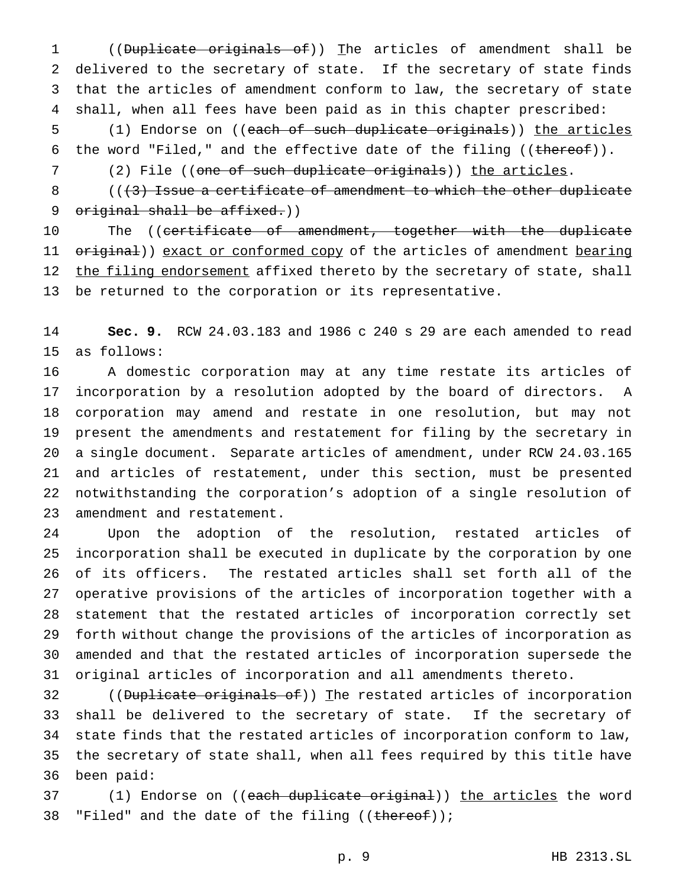((Duplicate originals of)) The articles of amendment shall be delivered to the secretary of state. If the secretary of state finds that the articles of amendment conform to law, the secretary of state shall, when all fees have been paid as in this chapter prescribed: (1) Endorse on ((each of such duplicate originals)) the articles 6 the word "Filed," and the effective date of the filing  $((\text{thereof}))$ .

7 (2) File ((one of such duplicate originals)) the articles.

8  $(1,3)$  Issue a certificate of amendment to which the other duplicate 9 original shall be affixed.))

10 The ((<del>certificate of amendment, together with the duplicate</del> 11 original)) exact or conformed copy of the articles of amendment bearing 12 the filing endorsement affixed thereto by the secretary of state, shall be returned to the corporation or its representative.

 **Sec. 9.** RCW 24.03.183 and 1986 c 240 s 29 are each amended to read as follows:

 A domestic corporation may at any time restate its articles of incorporation by a resolution adopted by the board of directors. A corporation may amend and restate in one resolution, but may not present the amendments and restatement for filing by the secretary in a single document. Separate articles of amendment, under RCW 24.03.165 and articles of restatement, under this section, must be presented notwithstanding the corporation's adoption of a single resolution of amendment and restatement.

 Upon the adoption of the resolution, restated articles of incorporation shall be executed in duplicate by the corporation by one of its officers. The restated articles shall set forth all of the operative provisions of the articles of incorporation together with a statement that the restated articles of incorporation correctly set forth without change the provisions of the articles of incorporation as amended and that the restated articles of incorporation supersede the original articles of incorporation and all amendments thereto.

32 ((<del>Duplicate originals of</del>)) The restated articles of incorporation shall be delivered to the secretary of state. If the secretary of state finds that the restated articles of incorporation conform to law, the secretary of state shall, when all fees required by this title have been paid:

37 (1) Endorse on ((each duplicate original)) the articles the word 38 "Filed" and the date of the filing ((thereof));

p. 9 HB 2313.SL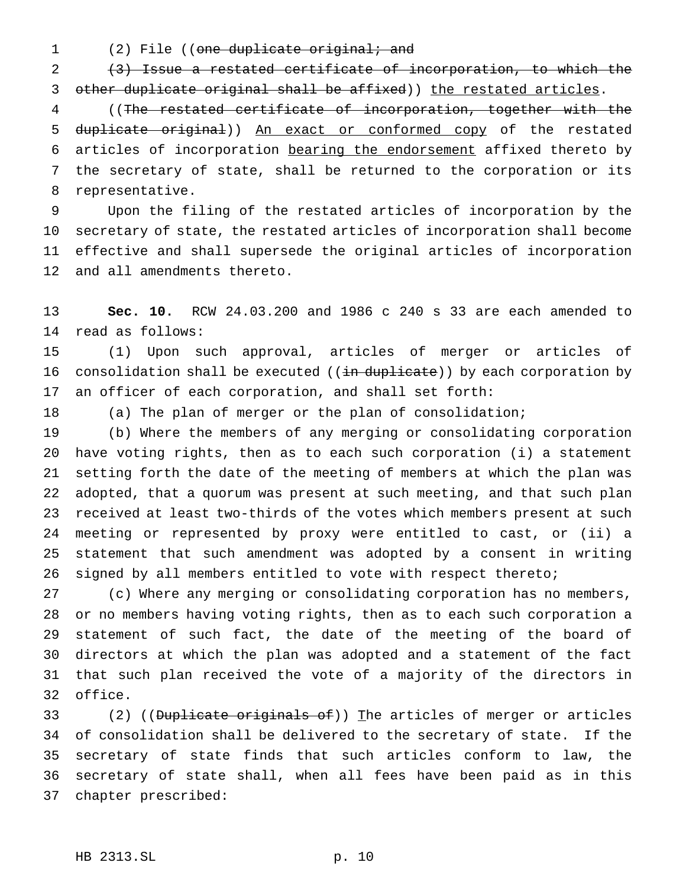1 (2) File ((one duplicate original; and

 (3) Issue a restated certificate of incorporation, to which the 3 other duplicate original shall be affixed)) the restated articles.

 ((The restated certificate of incorporation, together with the duplicate original)) An exact or conformed copy of the restated articles of incorporation bearing the endorsement affixed thereto by the secretary of state, shall be returned to the corporation or its representative.

 Upon the filing of the restated articles of incorporation by the secretary of state, the restated articles of incorporation shall become effective and shall supersede the original articles of incorporation and all amendments thereto.

 **Sec. 10.** RCW 24.03.200 and 1986 c 240 s 33 are each amended to read as follows:

 (1) Upon such approval, articles of merger or articles of 16 consolidation shall be executed ((in duplicate)) by each corporation by an officer of each corporation, and shall set forth:

(a) The plan of merger or the plan of consolidation;

 (b) Where the members of any merging or consolidating corporation have voting rights, then as to each such corporation (i) a statement setting forth the date of the meeting of members at which the plan was adopted, that a quorum was present at such meeting, and that such plan received at least two-thirds of the votes which members present at such meeting or represented by proxy were entitled to cast, or (ii) a statement that such amendment was adopted by a consent in writing signed by all members entitled to vote with respect thereto;

 (c) Where any merging or consolidating corporation has no members, or no members having voting rights, then as to each such corporation a statement of such fact, the date of the meeting of the board of directors at which the plan was adopted and a statement of the fact that such plan received the vote of a majority of the directors in office.

33 (2) ((Duplicate originals of)) The articles of merger or articles of consolidation shall be delivered to the secretary of state. If the secretary of state finds that such articles conform to law, the secretary of state shall, when all fees have been paid as in this chapter prescribed: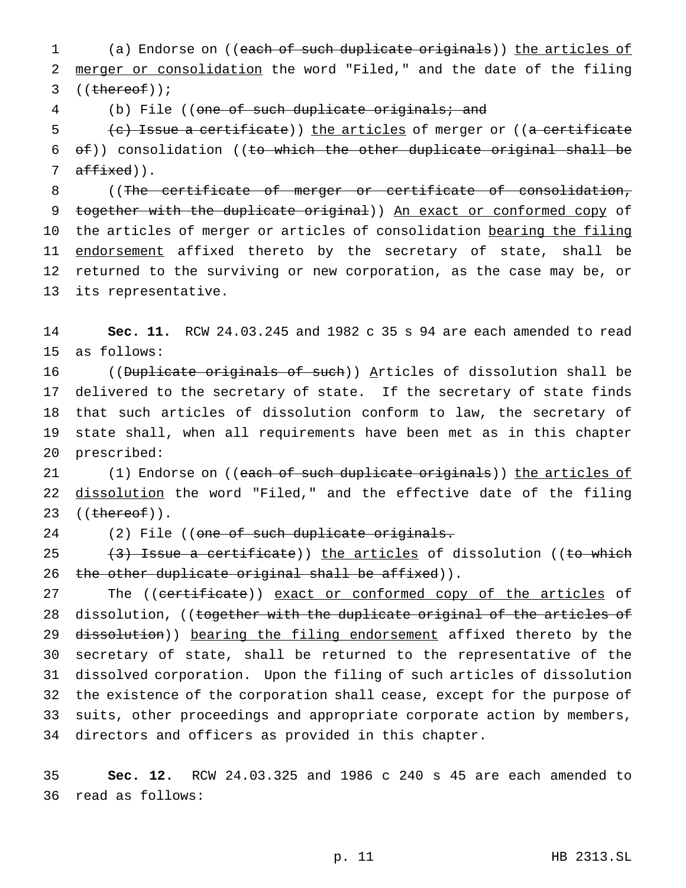1 (a) Endorse on ((each of such duplicate originals)) the articles of 2 merger or consolidation the word "Filed," and the date of the filing  $3$  ((thereof));

4 (b) File ((one of such duplicate originals; and

5 (c) Issue a certificate)) the articles of merger or ((a certificate 6 of)) consolidation ((to which the other duplicate original shall be 7  $\text{affixed}$ ).

8 ((The certificate of merger or certificate of consolidation, 9 together with the duplicate original)) An exact or conformed copy of 10 the articles of merger or articles of consolidation bearing the filing 11 endorsement affixed thereto by the secretary of state, shall be 12 returned to the surviving or new corporation, as the case may be, or 13 its representative.

14 **Sec. 11.** RCW 24.03.245 and 1982 c 35 s 94 are each amended to read 15 as follows:

16 ((Duplicate originals of such)) Articles of dissolution shall be delivered to the secretary of state. If the secretary of state finds that such articles of dissolution conform to law, the secretary of state shall, when all requirements have been met as in this chapter prescribed:

21 (1) Endorse on ((e<del>ach of such duplicate originals</del>)) <u>the articles of</u> 22 dissolution the word "Filed," and the effective date of the filing 23  $((thereof))$ .

24 (2) File ((one of such duplicate originals.

25  $(3)$  Issue a certificate)) the articles of dissolution ((to which 26 the other duplicate original shall be affixed)).

27 The ((certificate)) exact or conformed copy of the articles of 28 dissolution, ((together with the duplicate original of the articles of 29 dissolution)) bearing the filing endorsement affixed thereto by the secretary of state, shall be returned to the representative of the dissolved corporation. Upon the filing of such articles of dissolution the existence of the corporation shall cease, except for the purpose of suits, other proceedings and appropriate corporate action by members, directors and officers as provided in this chapter.

35 **Sec. 12.** RCW 24.03.325 and 1986 c 240 s 45 are each amended to 36 read as follows: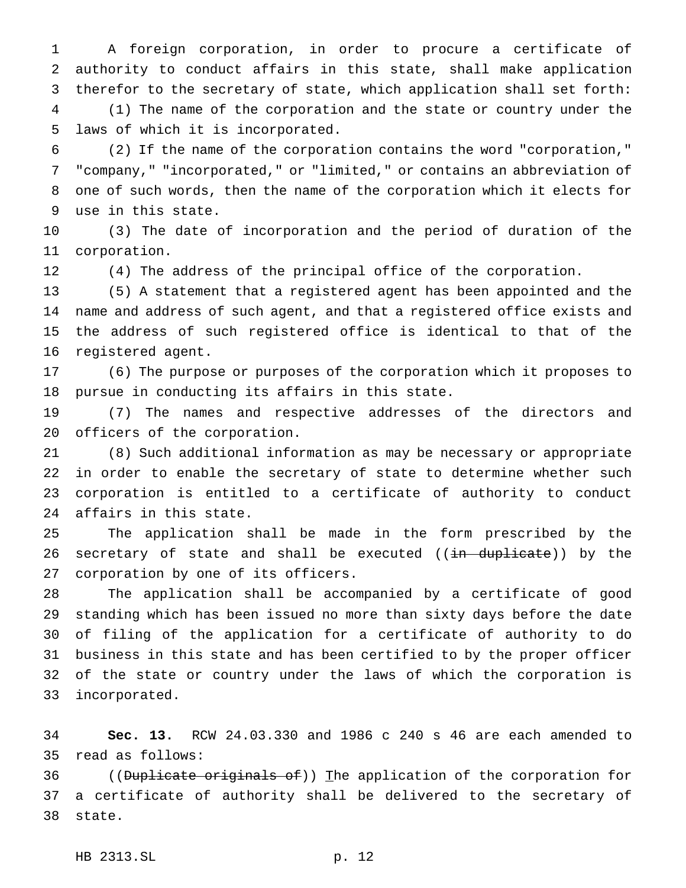A foreign corporation, in order to procure a certificate of authority to conduct affairs in this state, shall make application therefor to the secretary of state, which application shall set forth: (1) The name of the corporation and the state or country under the laws of which it is incorporated.

 (2) If the name of the corporation contains the word "corporation," "company," "incorporated," or "limited," or contains an abbreviation of one of such words, then the name of the corporation which it elects for use in this state.

 (3) The date of incorporation and the period of duration of the corporation.

(4) The address of the principal office of the corporation.

 (5) A statement that a registered agent has been appointed and the name and address of such agent, and that a registered office exists and the address of such registered office is identical to that of the registered agent.

 (6) The purpose or purposes of the corporation which it proposes to pursue in conducting its affairs in this state.

 (7) The names and respective addresses of the directors and officers of the corporation.

 (8) Such additional information as may be necessary or appropriate in order to enable the secretary of state to determine whether such corporation is entitled to a certificate of authority to conduct affairs in this state.

 The application shall be made in the form prescribed by the 26 secretary of state and shall be executed ((in duplicate)) by the corporation by one of its officers.

 The application shall be accompanied by a certificate of good standing which has been issued no more than sixty days before the date of filing of the application for a certificate of authority to do business in this state and has been certified to by the proper officer of the state or country under the laws of which the corporation is incorporated.

 **Sec. 13.** RCW 24.03.330 and 1986 c 240 s 46 are each amended to read as follows:

36 ((Duplicate originals of)) The application of the corporation for a certificate of authority shall be delivered to the secretary of state.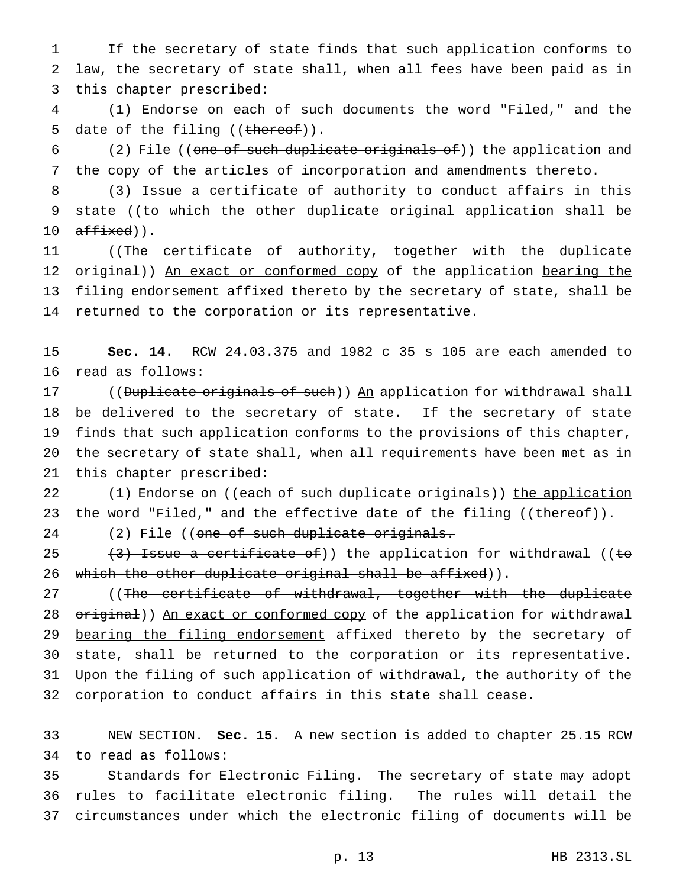If the secretary of state finds that such application conforms to law, the secretary of state shall, when all fees have been paid as in this chapter prescribed:

 (1) Endorse on each of such documents the word "Filed," and the 5 date of the filing ((thereof)).

 (2) File ((one of such duplicate originals of)) the application and the copy of the articles of incorporation and amendments thereto.

 (3) Issue a certificate of authority to conduct affairs in this 9 state ((to which the other duplicate original application shall be  $affixed)$ .

 ((The certificate of authority, together with the duplicate 12 original)) An exact or conformed copy of the application bearing the 13 filing endorsement affixed thereto by the secretary of state, shall be returned to the corporation or its representative.

 **Sec. 14.** RCW 24.03.375 and 1982 c 35 s 105 are each amended to read as follows:

17 ((Duplicate originals of such)) An application for withdrawal shall be delivered to the secretary of state. If the secretary of state finds that such application conforms to the provisions of this chapter, the secretary of state shall, when all requirements have been met as in this chapter prescribed:

22 (1) Endorse on ((each of such duplicate originals)) the application 23 the word "Filed," and the effective date of the filing ((thereof)).

24 (2) File ((one of such duplicate originals.

25  $(3)$  Issue a certificate of)) the application for withdrawal ((to 26 which the other duplicate original shall be affixed)).

27 ((The certificate of withdrawal, together with the duplicate 28 original)) An exact or conformed copy of the application for withdrawal 29 bearing the filing endorsement affixed thereto by the secretary of state, shall be returned to the corporation or its representative. Upon the filing of such application of withdrawal, the authority of the corporation to conduct affairs in this state shall cease.

 NEW SECTION. **Sec. 15.** A new section is added to chapter 25.15 RCW to read as follows:

 Standards for Electronic Filing. The secretary of state may adopt rules to facilitate electronic filing. The rules will detail the circumstances under which the electronic filing of documents will be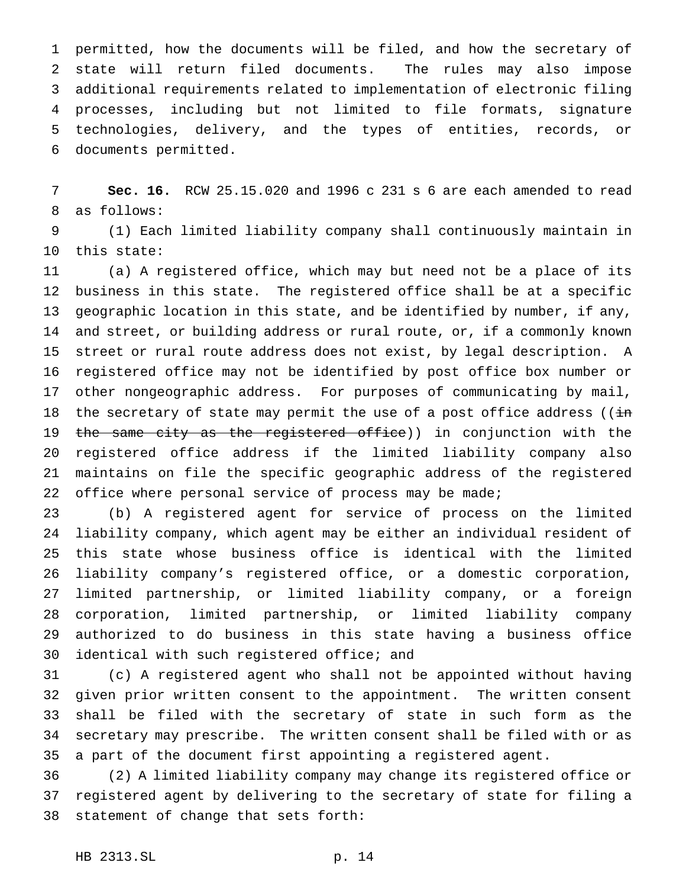permitted, how the documents will be filed, and how the secretary of state will return filed documents. The rules may also impose additional requirements related to implementation of electronic filing processes, including but not limited to file formats, signature technologies, delivery, and the types of entities, records, or documents permitted.

 **Sec. 16.** RCW 25.15.020 and 1996 c 231 s 6 are each amended to read as follows:

 (1) Each limited liability company shall continuously maintain in this state:

 (a) A registered office, which may but need not be a place of its business in this state. The registered office shall be at a specific geographic location in this state, and be identified by number, if any, and street, or building address or rural route, or, if a commonly known street or rural route address does not exist, by legal description. A registered office may not be identified by post office box number or other nongeographic address. For purposes of communicating by mail, 18 the secretary of state may permit the use of a post office address ( $(i\texttt{in})$ 19 the same city as the registered office)) in conjunction with the registered office address if the limited liability company also maintains on file the specific geographic address of the registered 22 office where personal service of process may be made;

 (b) A registered agent for service of process on the limited liability company, which agent may be either an individual resident of this state whose business office is identical with the limited liability company's registered office, or a domestic corporation, limited partnership, or limited liability company, or a foreign corporation, limited partnership, or limited liability company authorized to do business in this state having a business office identical with such registered office; and

 (c) A registered agent who shall not be appointed without having given prior written consent to the appointment. The written consent shall be filed with the secretary of state in such form as the secretary may prescribe. The written consent shall be filed with or as a part of the document first appointing a registered agent.

 (2) A limited liability company may change its registered office or registered agent by delivering to the secretary of state for filing a statement of change that sets forth: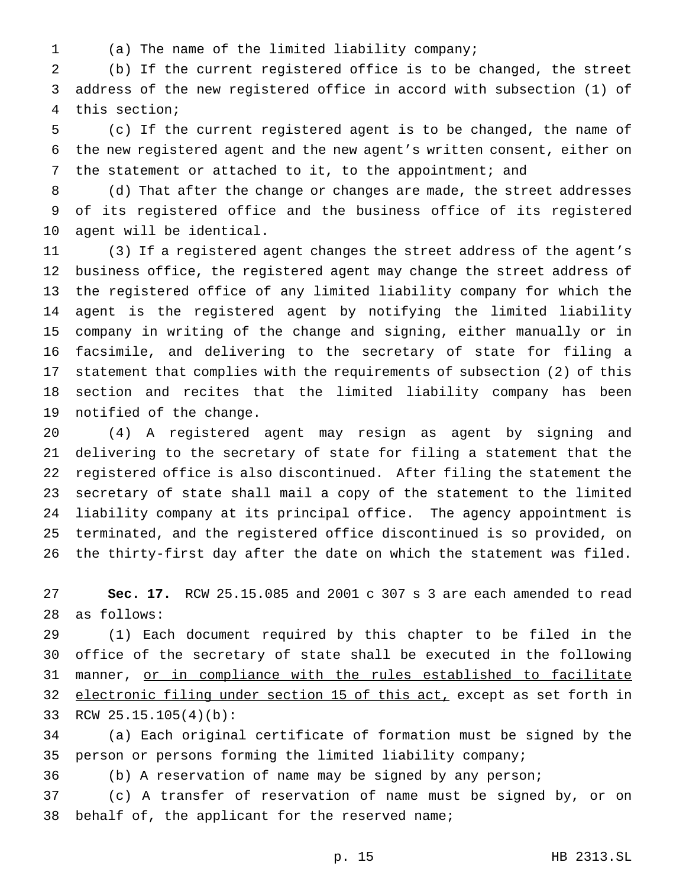- 
- (a) The name of the limited liability company;

 (b) If the current registered office is to be changed, the street address of the new registered office in accord with subsection (1) of this section;

 (c) If the current registered agent is to be changed, the name of the new registered agent and the new agent's written consent, either on the statement or attached to it, to the appointment; and

 (d) That after the change or changes are made, the street addresses of its registered office and the business office of its registered agent will be identical.

 (3) If a registered agent changes the street address of the agent's business office, the registered agent may change the street address of the registered office of any limited liability company for which the agent is the registered agent by notifying the limited liability company in writing of the change and signing, either manually or in facsimile, and delivering to the secretary of state for filing a statement that complies with the requirements of subsection (2) of this section and recites that the limited liability company has been notified of the change.

 (4) A registered agent may resign as agent by signing and delivering to the secretary of state for filing a statement that the registered office is also discontinued. After filing the statement the secretary of state shall mail a copy of the statement to the limited liability company at its principal office. The agency appointment is terminated, and the registered office discontinued is so provided, on the thirty-first day after the date on which the statement was filed.

 **Sec. 17.** RCW 25.15.085 and 2001 c 307 s 3 are each amended to read as follows:

 (1) Each document required by this chapter to be filed in the office of the secretary of state shall be executed in the following 31 manner, or in compliance with the rules established to facilitate 32 electronic filing under section 15 of this act, except as set forth in RCW 25.15.105(4)(b):

 (a) Each original certificate of formation must be signed by the person or persons forming the limited liability company;

(b) A reservation of name may be signed by any person;

 (c) A transfer of reservation of name must be signed by, or on 38 behalf of, the applicant for the reserved name;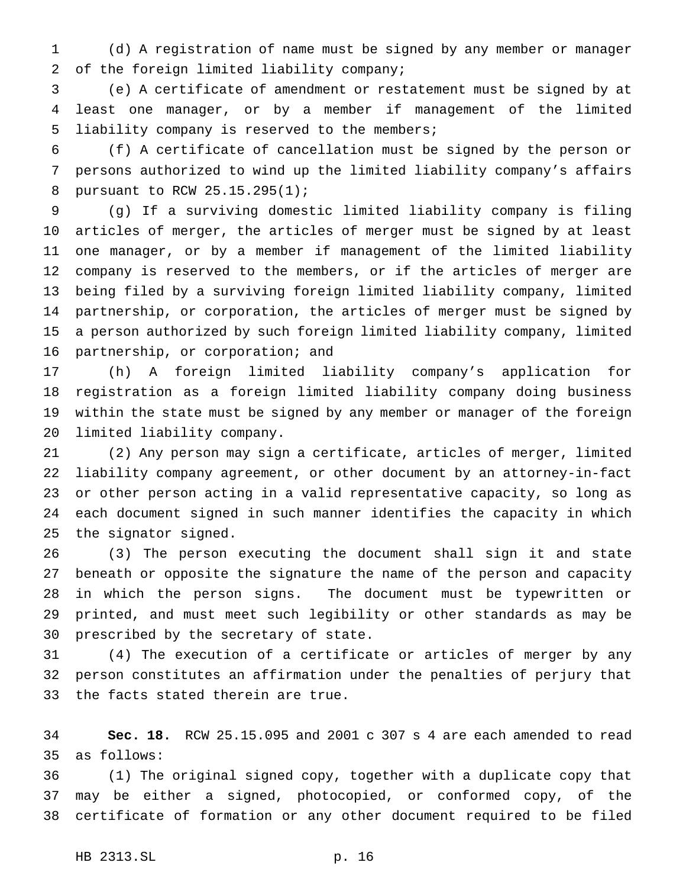(d) A registration of name must be signed by any member or manager of the foreign limited liability company;

 (e) A certificate of amendment or restatement must be signed by at least one manager, or by a member if management of the limited liability company is reserved to the members;

 (f) A certificate of cancellation must be signed by the person or persons authorized to wind up the limited liability company's affairs pursuant to RCW 25.15.295(1);

 (g) If a surviving domestic limited liability company is filing articles of merger, the articles of merger must be signed by at least one manager, or by a member if management of the limited liability company is reserved to the members, or if the articles of merger are being filed by a surviving foreign limited liability company, limited partnership, or corporation, the articles of merger must be signed by a person authorized by such foreign limited liability company, limited partnership, or corporation; and

 (h) A foreign limited liability company's application for registration as a foreign limited liability company doing business within the state must be signed by any member or manager of the foreign limited liability company.

 (2) Any person may sign a certificate, articles of merger, limited liability company agreement, or other document by an attorney-in-fact or other person acting in a valid representative capacity, so long as each document signed in such manner identifies the capacity in which the signator signed.

 (3) The person executing the document shall sign it and state beneath or opposite the signature the name of the person and capacity in which the person signs. The document must be typewritten or printed, and must meet such legibility or other standards as may be prescribed by the secretary of state.

 (4) The execution of a certificate or articles of merger by any person constitutes an affirmation under the penalties of perjury that the facts stated therein are true.

 **Sec. 18.** RCW 25.15.095 and 2001 c 307 s 4 are each amended to read as follows:

 (1) The original signed copy, together with a duplicate copy that may be either a signed, photocopied, or conformed copy, of the certificate of formation or any other document required to be filed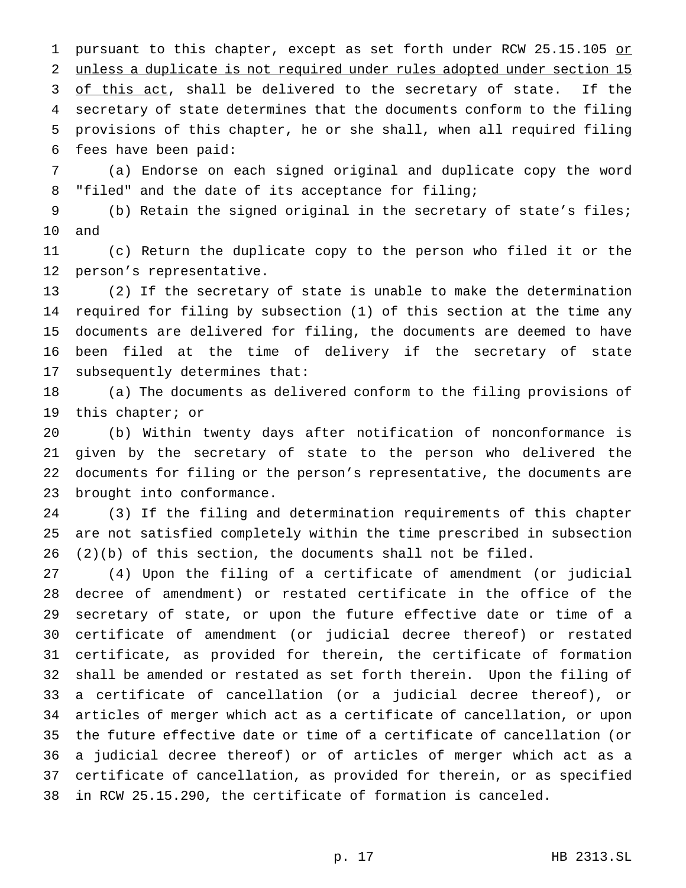1 pursuant to this chapter, except as set forth under RCW 25.15.105 or unless a duplicate is not required under rules adopted under section 15 3 of this act, shall be delivered to the secretary of state. If the secretary of state determines that the documents conform to the filing provisions of this chapter, he or she shall, when all required filing fees have been paid:

 (a) Endorse on each signed original and duplicate copy the word "filed" and the date of its acceptance for filing;

 (b) Retain the signed original in the secretary of state's files; and

 (c) Return the duplicate copy to the person who filed it or the person's representative.

 (2) If the secretary of state is unable to make the determination required for filing by subsection (1) of this section at the time any documents are delivered for filing, the documents are deemed to have been filed at the time of delivery if the secretary of state subsequently determines that:

 (a) The documents as delivered conform to the filing provisions of this chapter; or

 (b) Within twenty days after notification of nonconformance is given by the secretary of state to the person who delivered the documents for filing or the person's representative, the documents are brought into conformance.

 (3) If the filing and determination requirements of this chapter are not satisfied completely within the time prescribed in subsection (2)(b) of this section, the documents shall not be filed.

 (4) Upon the filing of a certificate of amendment (or judicial decree of amendment) or restated certificate in the office of the secretary of state, or upon the future effective date or time of a certificate of amendment (or judicial decree thereof) or restated certificate, as provided for therein, the certificate of formation shall be amended or restated as set forth therein. Upon the filing of a certificate of cancellation (or a judicial decree thereof), or articles of merger which act as a certificate of cancellation, or upon the future effective date or time of a certificate of cancellation (or a judicial decree thereof) or of articles of merger which act as a certificate of cancellation, as provided for therein, or as specified in RCW 25.15.290, the certificate of formation is canceled.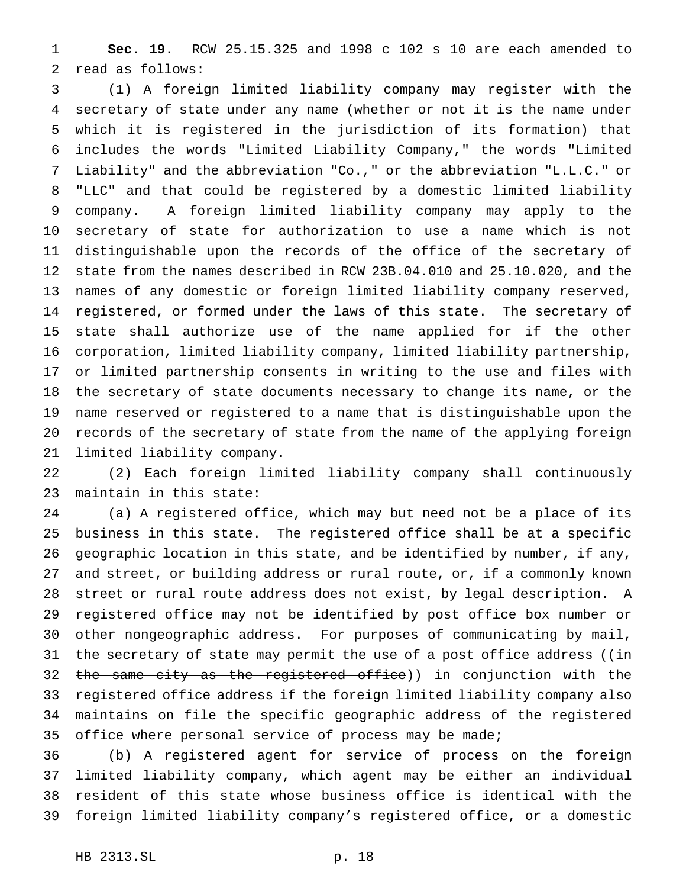**Sec. 19.** RCW 25.15.325 and 1998 c 102 s 10 are each amended to read as follows:

 (1) A foreign limited liability company may register with the secretary of state under any name (whether or not it is the name under which it is registered in the jurisdiction of its formation) that includes the words "Limited Liability Company," the words "Limited Liability" and the abbreviation "Co.," or the abbreviation "L.L.C." or "LLC" and that could be registered by a domestic limited liability company. A foreign limited liability company may apply to the secretary of state for authorization to use a name which is not distinguishable upon the records of the office of the secretary of state from the names described in RCW 23B.04.010 and 25.10.020, and the names of any domestic or foreign limited liability company reserved, registered, or formed under the laws of this state. The secretary of state shall authorize use of the name applied for if the other corporation, limited liability company, limited liability partnership, or limited partnership consents in writing to the use and files with the secretary of state documents necessary to change its name, or the name reserved or registered to a name that is distinguishable upon the records of the secretary of state from the name of the applying foreign limited liability company.

 (2) Each foreign limited liability company shall continuously maintain in this state:

 (a) A registered office, which may but need not be a place of its business in this state. The registered office shall be at a specific geographic location in this state, and be identified by number, if any, and street, or building address or rural route, or, if a commonly known street or rural route address does not exist, by legal description. A registered office may not be identified by post office box number or other nongeographic address. For purposes of communicating by mail, 31 the secretary of state may permit the use of a post office address ( $(i\texttt{in})$ 32 the same city as the registered office)) in conjunction with the registered office address if the foreign limited liability company also maintains on file the specific geographic address of the registered office where personal service of process may be made;

 (b) A registered agent for service of process on the foreign limited liability company, which agent may be either an individual resident of this state whose business office is identical with the foreign limited liability company's registered office, or a domestic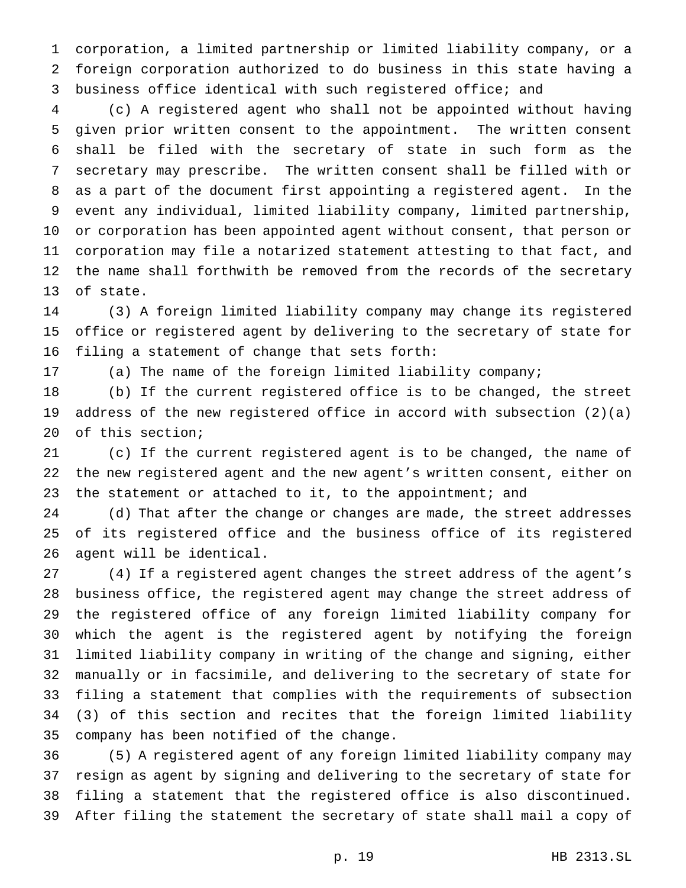corporation, a limited partnership or limited liability company, or a foreign corporation authorized to do business in this state having a business office identical with such registered office; and

 (c) A registered agent who shall not be appointed without having given prior written consent to the appointment. The written consent shall be filed with the secretary of state in such form as the secretary may prescribe. The written consent shall be filled with or as a part of the document first appointing a registered agent. In the event any individual, limited liability company, limited partnership, or corporation has been appointed agent without consent, that person or corporation may file a notarized statement attesting to that fact, and the name shall forthwith be removed from the records of the secretary of state.

 (3) A foreign limited liability company may change its registered office or registered agent by delivering to the secretary of state for filing a statement of change that sets forth:

(a) The name of the foreign limited liability company;

 (b) If the current registered office is to be changed, the street address of the new registered office in accord with subsection (2)(a) of this section;

 (c) If the current registered agent is to be changed, the name of the new registered agent and the new agent's written consent, either on 23 the statement or attached to it, to the appointment; and

 (d) That after the change or changes are made, the street addresses of its registered office and the business office of its registered agent will be identical.

 (4) If a registered agent changes the street address of the agent's business office, the registered agent may change the street address of the registered office of any foreign limited liability company for which the agent is the registered agent by notifying the foreign limited liability company in writing of the change and signing, either manually or in facsimile, and delivering to the secretary of state for filing a statement that complies with the requirements of subsection (3) of this section and recites that the foreign limited liability company has been notified of the change.

 (5) A registered agent of any foreign limited liability company may resign as agent by signing and delivering to the secretary of state for filing a statement that the registered office is also discontinued. After filing the statement the secretary of state shall mail a copy of